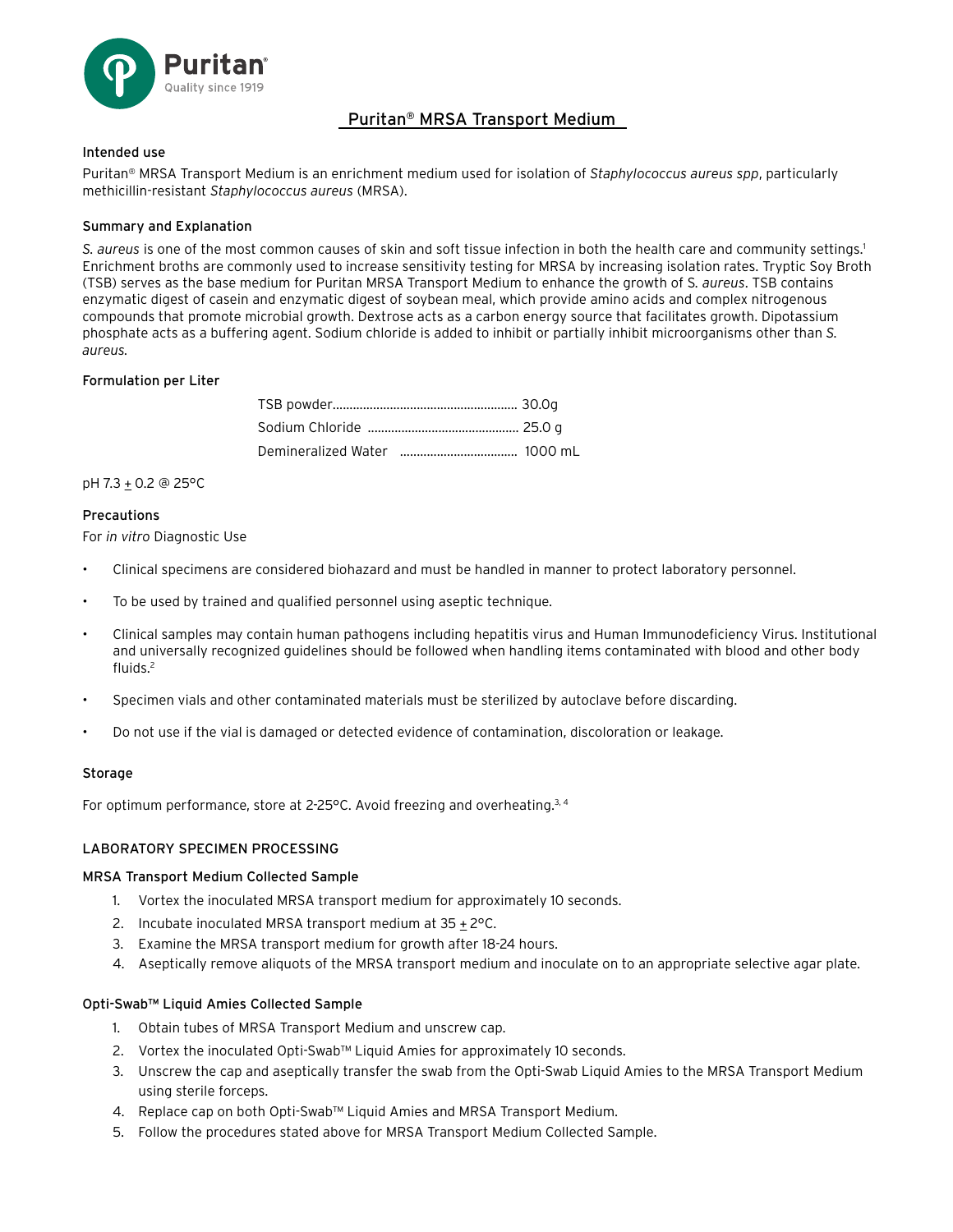

# Puritan® MRSA Transport Medium

## Intended use

Puritan® MRSA Transport Medium is an enrichment medium used for isolation of *Staphylococcus aureus spp*, particularly methicillin-resistant *Staphylococcus aureus* (MRSA).

## Summary and Explanation

S. aureus is one of the most common causes of skin and soft tissue infection in both the health care and community settings.<sup>1</sup> Enrichment broths are commonly used to increase sensitivity testing for MRSA by increasing isolation rates. Tryptic Soy Broth (TSB) serves as the base medium for Puritan MRSA Transport Medium to enhance the growth of S*. aureus*. TSB contains enzymatic digest of casein and enzymatic digest of soybean meal, which provide amino acids and complex nitrogenous compounds that promote microbial growth. Dextrose acts as a carbon energy source that facilitates growth. Dipotassium phosphate acts as a buffering agent. Sodium chloride is added to inhibit or partially inhibit microorganisms other than *S. aureus.*

## Formulation per Liter

pH 7.3 + 0.2 @ 25°C

#### **Precautions**

For *in vitro* Diagnostic Use

- Clinical specimens are considered biohazard and must be handled in manner to protect laboratory personnel.
- To be used by trained and qualified personnel using aseptic technique.
- Clinical samples may contain human pathogens including hepatitis virus and Human Immunodeficiency Virus. Institutional and universally recognized guidelines should be followed when handling items contaminated with blood and other body fluids.2
- Specimen vials and other contaminated materials must be sterilized by autoclave before discarding.
- Do not use if the vial is damaged or detected evidence of contamination, discoloration or leakage.

#### **Storage**

For optimum performance, store at 2-25°C. Avoid freezing and overheating.<sup>3, 4</sup>

#### LABORATORY SPECIMEN PROCESSING

#### MRSA Transport Medium Collected Sample

- 1. Vortex the inoculated MRSA transport medium for approximately 10 seconds.
- 2. Incubate inoculated MRSA transport medium at  $35 \pm 2^{\circ}$ C.
- 3. Examine the MRSA transport medium for growth after 18-24 hours.
- 4. Aseptically remove aliquots of the MRSA transport medium and inoculate on to an appropriate selective agar plate.

#### Opti-Swab™ Liquid Amies Collected Sample

- 1. Obtain tubes of MRSA Transport Medium and unscrew cap.
- 2. Vortex the inoculated Opti-Swab™ Liquid Amies for approximately 10 seconds.
- 3. Unscrew the cap and aseptically transfer the swab from the Opti-Swab Liquid Amies to the MRSA Transport Medium using sterile forceps.
- 4. Replace cap on both Opti-Swab™ Liquid Amies and MRSA Transport Medium.
- 5. Follow the procedures stated above for MRSA Transport Medium Collected Sample.